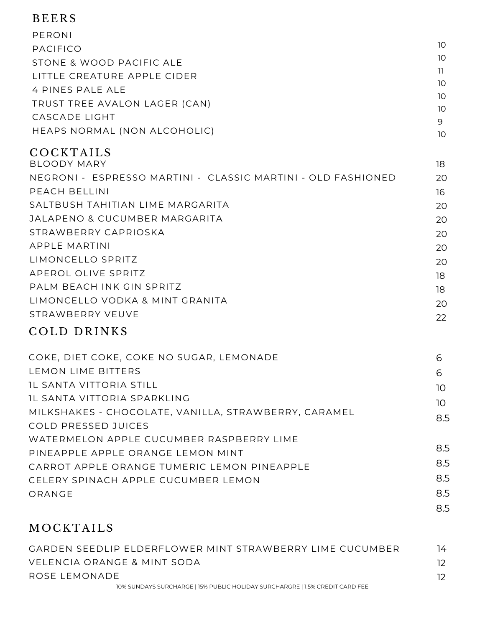#### BE ERS

| PERONI                                                       |          |
|--------------------------------------------------------------|----------|
| <b>PACIFICO</b>                                              | 10       |
| STONE & WOOD PACIFIC ALE                                     | 10       |
| LITTLE CREATURE APPLE CIDER                                  | 11       |
| 4 PINES PALE ALE                                             | 10       |
| TRUST TREE AVALON LAGER (CAN)                                | 10<br>10 |
| <b>CASCADE LIGHT</b>                                         | 9        |
| HEAPS NORMAL (NON ALCOHOLIC)                                 | 10       |
| COCKTAILS                                                    |          |
| <b>BLOODY MARY</b>                                           | 18       |
| NEGRONI - ESPRESSO MARTINI - CLASSIC MARTINI - OLD FASHIONED | 20       |
| PEACH BELLINI                                                | 16       |
| SALTBUSH TAHITIAN LIME MARGARITA                             | 20       |
| <b>JALAPENO &amp; CUCUMBER MARGARITA</b>                     | 20       |
| STRAWBERRY CAPRIOSKA                                         | 20       |
| <b>APPLE MARTINI</b>                                         | 20       |
| LIMONCELLO SPRITZ                                            | 20       |
| APEROL OLIVE SPRITZ                                          | 18       |
| PALM BEACH INK GIN SPRITZ                                    | 18       |
| LIMONCELLO VODKA & MINT GRANITA                              | 20       |
| STRAWBERRY VEUVE                                             | າາ       |

#### COLD DRINKS

| COKE, DIET COKE, COKE NO SUGAR, LEMONADE             | 6               |
|------------------------------------------------------|-----------------|
| LEMON LIME BITTERS                                   | 6               |
| <b>IL SANTA VITTORIA STILL</b>                       | 10              |
| IL SANTA VITTORIA SPARKLING                          | 10 <sup>°</sup> |
| MILKSHAKES - CHOCOLATE, VANILLA, STRAWBERRY, CARAMEL | 8.5             |
| COLD PRESSED JUICES                                  |                 |
| WATERMELON APPLE CUCUMBER RASPBERRY LIME             |                 |
| PINEAPPLE APPLE ORANGE LEMON MINT                    | 8.5             |
| CARROT APPLE ORANGE TUMERIC LEMON PINEAPPLE          | 8.5             |
| CELERY SPINACH APPLE CUCUMBER LEMON                  | 8.5             |
| ORANGE                                               | 8.5             |
|                                                      | 8.5             |

22

#### **MOCKTAILS**

| GARDEN SEEDLIP ELDERELOWER MINT STRAWBERRY LIME CUCUMBER                     | 14 |
|------------------------------------------------------------------------------|----|
| VELENCIA ORANGE & MINT SODA                                                  |    |
| ROSE I FMONADE                                                               |    |
| 10% SUNDAYS SURCHARGE   15% PUBLIC HOLIDAY SURCHARGRE   1.5% CREDIT CARD FEE |    |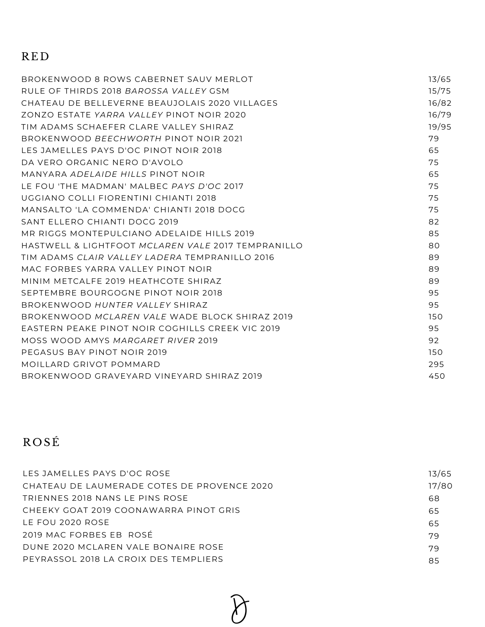## RE D

| BROKENWOOD 8 ROWS CABERNET SAUV MERLOT             | 13/65 |
|----------------------------------------------------|-------|
| RUI E OF THIRDS 2018 BAROSSA VALLEY GSM            | 15/75 |
| CHATEAU DE BELLEVERNE BEAUJOLAIS 2020 VILLAGES     | 16/82 |
| ZONZO ESTATE YARRA VALLEY PINOT NOIR 2020          | 16/79 |
| TIM ADAMS SCHAEFER CLARE VALLEY SHIRAZ             | 19/95 |
| BROKENWOOD BEECHWORTH PINOT NOIR 2021              | 79    |
| LES JAMELLES PAYS D'OC PINOT NOIR 2018             | 65    |
| DA VERO ORGANIC NERO D'AVOI O                      | 75    |
| MANYARA ADELAIDE HILLS PINOT NOIR                  | 65    |
| LE FOU 'THE MADMAN' MALBEC PAYS D'OC 2017          | 75    |
| UGGIANO COLLI FIORENTINI CHIANTI 2018              | 75    |
| MANSALTO 'LA COMMENDA' CHIANTI 2018 DOCG           | 75    |
| SANT ELLERO CHIANTI DOCG 2019                      | 82    |
| MR RIGGS MONTEPULCIANO ADELAIDE HILLS 2019         | 85    |
| HASTWELL & LIGHTFOOT MCLAREN VALE 2017 TEMPRANILLO | 80    |
| TIM ADAMS CLAIR VALLEY LADERA TEMPRANILLO 2016     | 89    |
| MAC FORBES YARRA VALLEY PINOT NOIR                 | 89    |
| MINIM METCALFE 2019 HEATHCOTE SHIRAZ               | 89    |
| SEPTEMBRE BOURGOGNE PINOT NOIR 2018                | 95    |
| BROKENWOOD HUNTER VALLEY SHIRAZ                    | 95    |
| BROKENWOOD MCLAREN VALE WADE BLOCK SHIRAZ 2019     | 150   |
| EASTERN PEAKE PINOT NOIR COGHILLS CREEK VIC 2019   | 95    |
| MOSS WOOD AMYS MARGARET RIVER 2019                 | 92    |
| PEGASUS BAY PINOT NOIR 2019                        | 150   |
| MOILLARD GRIVOT POMMARD                            | 295   |
| BROKENWOOD GRAVEYARD VINEYARD SHIRAZ 2019          | 450   |
|                                                    |       |

# ROS É

| LES JAMELLES PAYS D'OC ROSE                 | 13/65 |
|---------------------------------------------|-------|
| CHATEAU DE LAUMERADE COTES DE PROVENCE 2020 | 17/80 |
| TRIFNNES 2018 NANS LE PINS ROSE             | 68    |
| CHEEKY GOAT 2019 COONAWARRA PINOT GRIS      | 65    |
| I F FOU 2020 ROSE                           | 65    |
| 2019 MAC FORBES EB ROSÉ                     | 79    |
| DUNE 2020 MCLAREN VALE BONAIRE ROSE         | 79    |
| PEYRASSOL 2018 LA CROIX DES TEMPLIERS       | 85    |
|                                             |       |